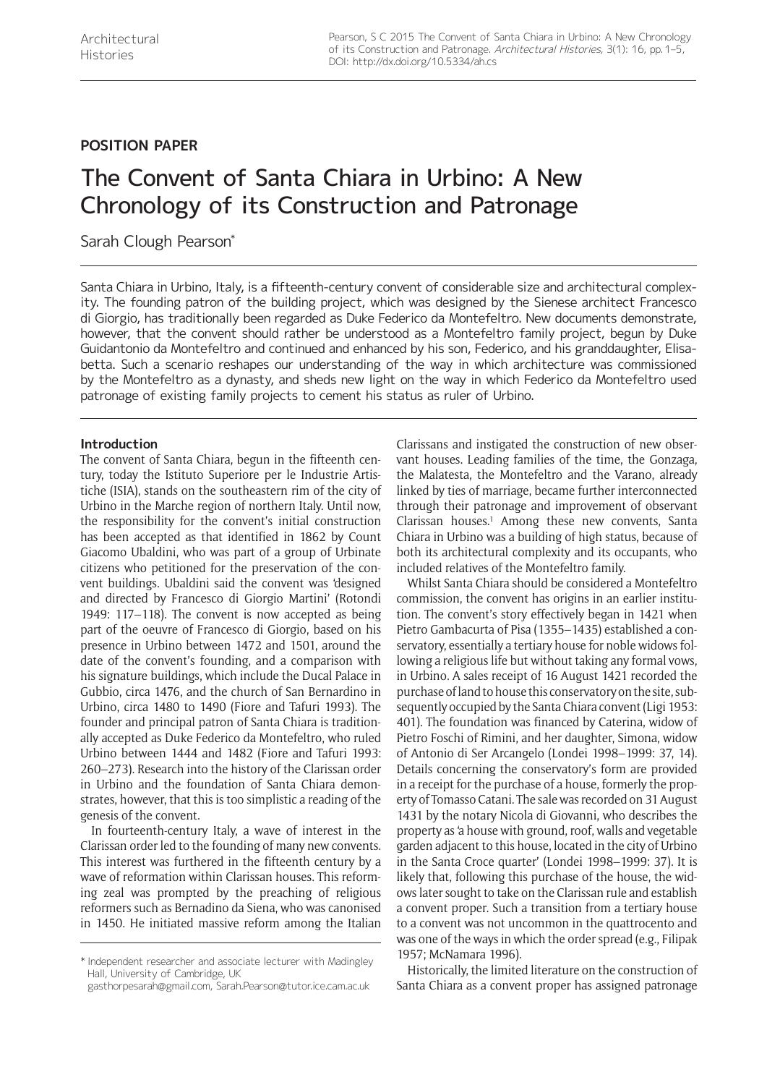# **POSITION PAPER**

# The Convent of Santa Chiara in Urbino: A New Chronology of its Construction and Patronage

Sarah Clough Pearson\*

Santa Chiara in Urbino, Italy, is a fifteenth-century convent of considerable size and architectural complexity. The founding patron of the building project, which was designed by the Sienese architect Francesco di Giorgio, has traditionally been regarded as Duke Federico da Montefeltro. New documents demonstrate, however, that the convent should rather be understood as a Montefeltro family project, begun by Duke Guidantonio da Montefeltro and continued and enhanced by his son, Federico, and his granddaughter, Elisabetta. Such a scenario reshapes our understanding of the way in which architecture was commissioned by the Montefeltro as a dynasty, and sheds new light on the way in which Federico da Montefeltro used patronage of existing family projects to cement his status as ruler of Urbino.

# **Introduction**

The convent of Santa Chiara, begun in the fifteenth century, today the Istituto Superiore per le Industrie Artistiche (ISIA), stands on the southeastern rim of the city of Urbino in the Marche region of northern Italy. Until now, the responsibility for the convent's initial construction has been accepted as that identified in 1862 by Count Giacomo Ubaldini, who was part of a group of Urbinate citizens who petitioned for the preservation of the convent buildings. Ubaldini said the convent was 'designed and directed by Francesco di Giorgio Martini' (Rotondi 1949: 117–118). The convent is now accepted as being part of the oeuvre of Francesco di Giorgio, based on his presence in Urbino between 1472 and 1501, around the date of the convent's founding, and a comparison with his signature buildings, which include the Ducal Palace in Gubbio, circa 1476, and the church of San Bernardino in Urbino, circa 1480 to 1490 (Fiore and Tafuri 1993). The founder and principal patron of Santa Chiara is traditionally accepted as Duke Federico da Montefeltro, who ruled Urbino between 1444 and 1482 (Fiore and Tafuri 1993: 260–273). Research into the history of the Clarissan order in Urbino and the foundation of Santa Chiara demonstrates, however, that this is too simplistic a reading of the genesis of the convent.

In fourteenth-century Italy, a wave of interest in the Clarissan order led to the founding of many new convents. This interest was furthered in the fifteenth century by a wave of reformation within Clarissan houses. This reforming zeal was prompted by the preaching of religious reformers such as Bernadino da Siena, who was canonised in 1450. He initiated massive reform among the Italian

Clarissans and instigated the construction of new observant houses. Leading families of the time, the Gonzaga, the Malatesta, the Montefeltro and the Varano, already linked by ties of marriage, became further interconnected through their patronage and improvement of observant Clarissan houses.<sup>1</sup> Among these new convents, Santa Chiara in Urbino was a building of high status, because of both its architectural complexity and its occupants, who included relatives of the Montefeltro family.

Whilst Santa Chiara should be considered a Montefeltro commission, the convent has origins in an earlier institution. The convent's story effectively began in 1421 when Pietro Gambacurta of Pisa (1355–1435) established a conservatory, essentially a tertiary house for noble widows following a religious life but without taking any formal vows, in Urbino. A sales receipt of 16 August 1421 recorded the purchase of land to house this conservatory on the site, subsequently occupied by the Santa Chiara convent (Ligi 1953: 401). The foundation was financed by Caterina, widow of Pietro Foschi of Rimini, and her daughter, Simona, widow of Antonio di Ser Arcangelo (Londei 1998–1999: 37, 14). Details concerning the conservatory's form are provided in a receipt for the purchase of a house, formerly the property of Tomasso Catani. The sale was recorded on 31 August 1431 by the notary Nicola di Giovanni, who describes the property as 'a house with ground, roof, walls and vegetable garden adjacent to this house, located in the city of Urbino in the Santa Croce quarter' (Londei 1998–1999: 37). It is likely that, following this purchase of the house, the widows later sought to take on the Clarissan rule and establish a convent proper. Such a transition from a tertiary house to a convent was not uncommon in the quattrocento and was one of the ways in which the order spread (e.g., Filipak 1957; McNamara 1996).

Historically, the limited literature on the construction of Santa Chiara as a convent proper has assigned patronage

<sup>\*</sup> Independent researcher and associate lecturer with Madingley Hall, University of Cambridge, UK

[gasthorpesarah@gmail.com](mailto:gasthorpesarah@gmail.com), [Sarah.Pearson@tutor.ice.cam.ac.uk](mailto:Sarah.Pearson@tutor.ice.cam.ac.uk)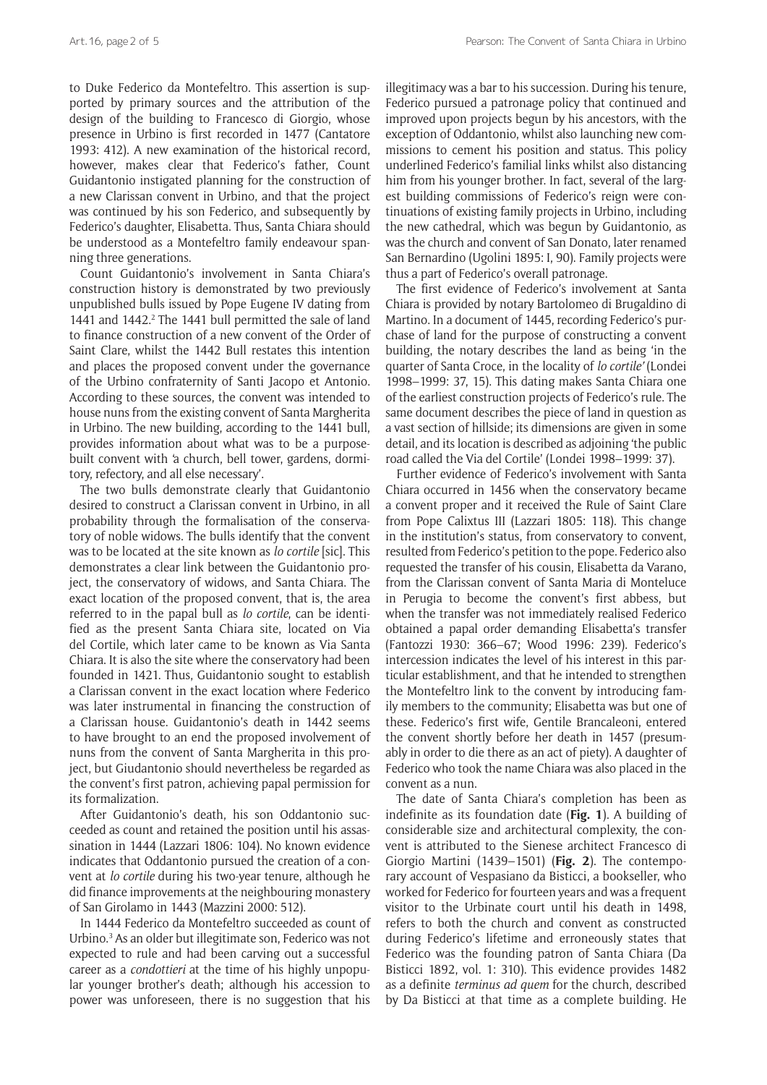to Duke Federico da Montefeltro. This assertion is supported by primary sources and the attribution of the design of the building to Francesco di Giorgio, whose presence in Urbino is first recorded in 1477 (Cantatore 1993: 412). A new examination of the historical record, however, makes clear that Federico's father, Count Guidantonio instigated planning for the construction of a new Clarissan convent in Urbino, and that the project was continued by his son Federico, and subsequently by Federico's daughter, Elisabetta. Thus, Santa Chiara should be understood as a Montefeltro family endeavour spanning three generations.

Count Guidantonio's involvement in Santa Chiara's construction history is demonstrated by two previously unpublished bulls issued by Pope Eugene IV dating from 1441 and 1442.<sup>2</sup> The 1441 bull permitted the sale of land to finance construction of a new convent of the Order of Saint Clare, whilst the 1442 Bull restates this intention and places the proposed convent under the governance of the Urbino confraternity of Santi Jacopo et Antonio. According to these sources, the convent was intended to house nuns from the existing convent of Santa Margherita in Urbino. The new building, according to the 1441 bull, provides information about what was to be a purposebuilt convent with 'a church, bell tower, gardens, dormitory, refectory, and all else necessary'.

The two bulls demonstrate clearly that Guidantonio desired to construct a Clarissan convent in Urbino, in all probability through the formalisation of the conservatory of noble widows. The bulls identify that the convent was to be located at the site known as *lo cortile* [sic]. This demonstrates a clear link between the Guidantonio project, the conservatory of widows, and Santa Chiara. The exact location of the proposed convent, that is, the area referred to in the papal bull as *lo cortile*, can be identified as the present Santa Chiara site, located on Via del Cortile, which later came to be known as Via Santa Chiara. It is also the site where the conservatory had been founded in 1421. Thus, Guidantonio sought to establish a Clarissan convent in the exact location where Federico was later instrumental in financing the construction of a Clarissan house. Guidantonio's death in 1442 seems to have brought to an end the proposed involvement of nuns from the convent of Santa Margherita in this project, but Giudantonio should nevertheless be regarded as the convent's first patron, achieving papal permission for its formalization.

After Guidantonio's death, his son Oddantonio succeeded as count and retained the position until his assassination in 1444 (Lazzari 1806: 104). No known evidence indicates that Oddantonio pursued the creation of a convent at *lo cortile* during his two-year tenure, although he did finance improvements at the neighbouring monastery of San Girolamo in 1443 (Mazzini 2000: 512).

In 1444 Federico da Montefeltro succeeded as count of Urbino.<sup>3</sup> As an older but illegitimate son, Federico was not expected to rule and had been carving out a successful career as a *condottieri* at the time of his highly unpopular younger brother's death; although his accession to power was unforeseen, there is no suggestion that his

illegitimacy was a bar to his succession. During his tenure, Federico pursued a patronage policy that continued and improved upon projects begun by his ancestors, with the exception of Oddantonio, whilst also launching new commissions to cement his position and status. This policy underlined Federico's familial links whilst also distancing him from his younger brother. In fact, several of the largest building commissions of Federico's reign were continuations of existing family projects in Urbino, including the new cathedral, which was begun by Guidantonio, as was the church and convent of San Donato, later renamed San Bernardino (Ugolini 1895: I, 90). Family projects were thus a part of Federico's overall patronage.

The first evidence of Federico's involvement at Santa Chiara is provided by notary Bartolomeo di Brugaldino di Martino. In a document of 1445, recording Federico's purchase of land for the purpose of constructing a convent building, the notary describes the land as being 'in the quarter of Santa Croce, in the locality of *lo cortile'* (Londei 1998–1999: 37, 15). This dating makes Santa Chiara one of the earliest construction projects of Federico's rule. The same document describes the piece of land in question as a vast section of hillside; its dimensions are given in some detail, and its location is described as adjoining 'the public road called the Via del Cortile' (Londei 1998–1999: 37).

Further evidence of Federico's involvement with Santa Chiara occurred in 1456 when the conservatory became a convent proper and it received the Rule of Saint Clare from Pope Calixtus III (Lazzari 1805: 118). This change in the institution's status, from conservatory to convent, resulted from Federico's petition to the pope. Federico also requested the transfer of his cousin, Elisabetta da Varano, from the Clarissan convent of Santa Maria di Monteluce in Perugia to become the convent's first abbess, but when the transfer was not immediately realised Federico obtained a papal order demanding Elisabetta's transfer (Fantozzi 1930: 366–67; Wood 1996: 239). Federico's intercession indicates the level of his interest in this particular establishment, and that he intended to strengthen the Montefeltro link to the convent by introducing family members to the community; Elisabetta was but one of these. Federico's first wife, Gentile Brancaleoni, entered the convent shortly before her death in 1457 (presumably in order to die there as an act of piety). A daughter of Federico who took the name Chiara was also placed in the convent as a nun.

The date of Santa Chiara's completion has been as indefinite as its foundation date (**Fig. 1**). A building of considerable size and architectural complexity, the convent is attributed to the Sienese architect Francesco di Giorgio Martini (1439–1501) (**Fig. 2**). The contemporary account of Vespasiano da Bisticci, a bookseller, who worked for Federico for fourteen years and was a frequent visitor to the Urbinate court until his death in 1498, refers to both the church and convent as constructed during Federico's lifetime and erroneously states that Federico was the founding patron of Santa Chiara (Da Bisticci 1892, vol. 1: 310). This evidence provides 1482 as a definite *terminus ad quem* for the church, described by Da Bisticci at that time as a complete building. He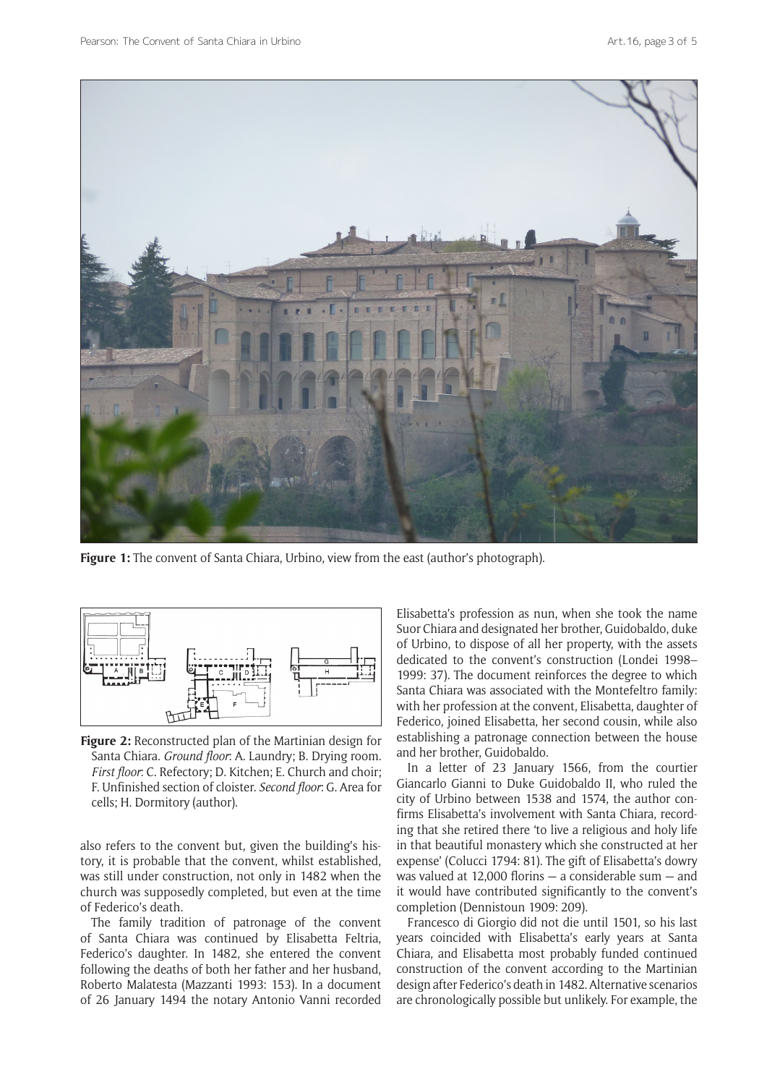

**Figure 1:** The convent of Santa Chiara, Urbino, view from the east (author's photograph).



**Figure 2:** Reconstructed plan of the Martinian design for Santa Chiara. *Ground floor*: A. Laundry; B. Drying room. *First floor*: C. Refectory; D. Kitchen; E. Church and choir; F. Unfinished section of cloister. *Second floor*: G. Area for cells; H. Dormitory (author).

also refers to the convent but, given the building's history, it is probable that the convent, whilst established, was still under construction, not only in 1482 when the church was supposedly completed, but even at the time of Federico's death.

The family tradition of patronage of the convent of Santa Chiara was continued by Elisabetta Feltria, Federico's daughter. In 1482, she entered the convent following the deaths of both her father and her husband, Roberto Malatesta (Mazzanti 1993: 153). In a document of 26 January 1494 the notary Antonio Vanni recorded Elisabetta's profession as nun, when she took the name Suor Chiara and designated her brother, Guidobaldo, duke of Urbino, to dispose of all her property, with the assets dedicated to the convent's construction (Londei 1998– 1999: 37). The document reinforces the degree to which Santa Chiara was associated with the Montefeltro family: with her profession at the convent, Elisabetta, daughter of Federico, joined Elisabetta, her second cousin, while also establishing a patronage connection between the house and her brother, Guidobaldo.

In a letter of 23 January 1566, from the courtier Giancarlo Gianni to Duke Guidobaldo II, who ruled the city of Urbino between 1538 and 1574, the author confirms Elisabetta's involvement with Santa Chiara, recording that she retired there 'to live a religious and holy life in that beautiful monastery which she constructed at her expense' (Colucci 1794: 81). The gift of Elisabetta's dowry was valued at 12,000 florins — a considerable sum — and it would have contributed significantly to the convent's completion (Dennistoun 1909: 209).

Francesco di Giorgio did not die until 1501, so his last years coincided with Elisabetta's early years at Santa Chiara, and Elisabetta most probably funded continued construction of the convent according to the Martinian design after Federico's death in 1482. Alternative scenarios are chronologically possible but unlikely. For example, the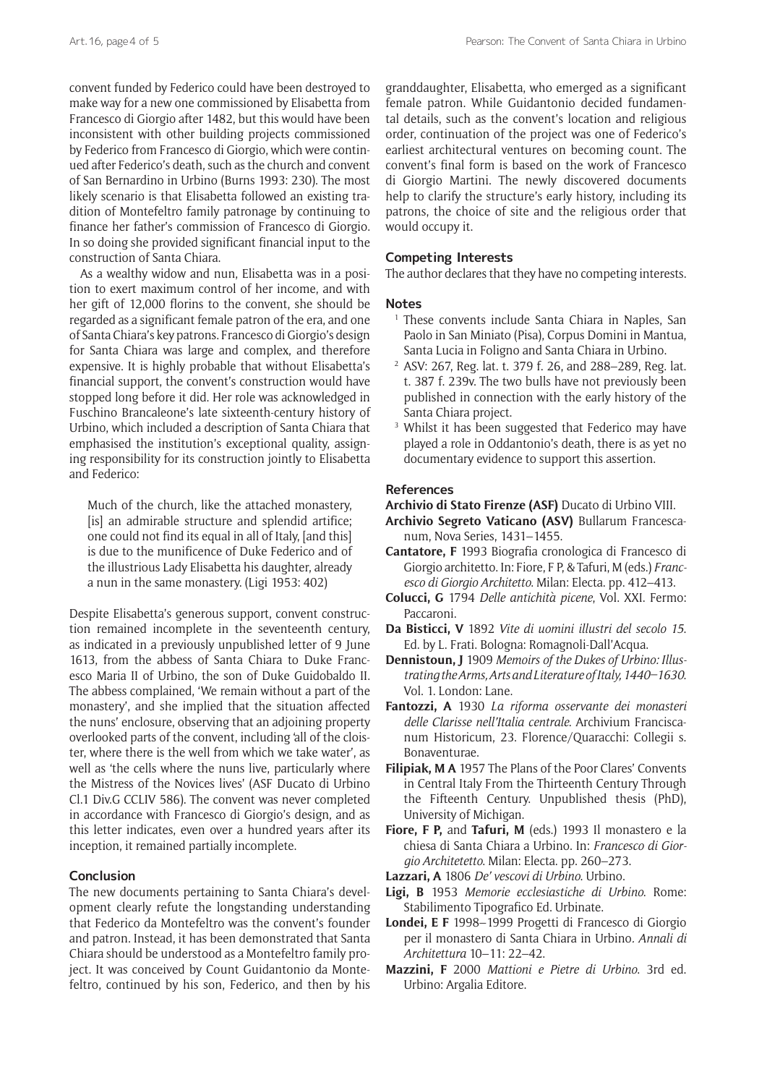convent funded by Federico could have been destroyed to make way for a new one commissioned by Elisabetta from Francesco di Giorgio after 1482, but this would have been inconsistent with other building projects commissioned by Federico from Francesco di Giorgio, which were continued after Federico's death, such as the church and convent of San Bernardino in Urbino (Burns 1993: 230). The most likely scenario is that Elisabetta followed an existing tradition of Montefeltro family patronage by continuing to finance her father's commission of Francesco di Giorgio. In so doing she provided significant financial input to the construction of Santa Chiara.

As a wealthy widow and nun, Elisabetta was in a position to exert maximum control of her income, and with her gift of 12,000 florins to the convent, she should be regarded as a significant female patron of the era, and one of Santa Chiara's key patrons. Francesco di Giorgio's design for Santa Chiara was large and complex, and therefore expensive. It is highly probable that without Elisabetta's financial support, the convent's construction would have stopped long before it did. Her role was acknowledged in Fuschino Brancaleone's late sixteenth-century history of Urbino, which included a description of Santa Chiara that emphasised the institution's exceptional quality, assigning responsibility for its construction jointly to Elisabetta and Federico:

Much of the church, like the attached monastery, [is] an admirable structure and splendid artifice; one could not find its equal in all of Italy, [and this] is due to the munificence of Duke Federico and of the illustrious Lady Elisabetta his daughter, already a nun in the same monastery. (Ligi 1953: 402)

Despite Elisabetta's generous support, convent construction remained incomplete in the seventeenth century, as indicated in a previously unpublished letter of 9 June 1613, from the abbess of Santa Chiara to Duke Francesco Maria II of Urbino, the son of Duke Guidobaldo II. The abbess complained, 'We remain without a part of the monastery', and she implied that the situation affected the nuns' enclosure, observing that an adjoining property overlooked parts of the convent, including 'all of the cloister, where there is the well from which we take water', as well as 'the cells where the nuns live, particularly where the Mistress of the Novices lives' (ASF Ducato di Urbino Cl.1 Div.G CCLIV 586). The convent was never completed in accordance with Francesco di Giorgio's design, and as this letter indicates, even over a hundred years after its inception, it remained partially incomplete.

## **Conclusion**

The new documents pertaining to Santa Chiara's development clearly refute the longstanding understanding that Federico da Montefeltro was the convent's founder and patron. Instead, it has been demonstrated that Santa Chiara should be understood as a Montefeltro family project. It was conceived by Count Guidantonio da Montefeltro, continued by his son, Federico, and then by his

granddaughter, Elisabetta, who emerged as a significant female patron. While Guidantonio decided fundamental details, such as the convent's location and religious order, continuation of the project was one of Federico's earliest architectural ventures on becoming count. The convent's final form is based on the work of Francesco di Giorgio Martini. The newly discovered documents help to clarify the structure's early history, including its patrons, the choice of site and the religious order that would occupy it.

### **Competing Interests**

The author declares that they have no competing interests.

#### **Notes**

- <sup>1</sup> These convents include Santa Chiara in Naples, San Paolo in San Miniato (Pisa), Corpus Domini in Mantua, Santa Lucia in Foligno and Santa Chiara in Urbino.
- <sup>2</sup> ASV: 267, Reg. lat. t. 379 f. 26, and 288–289, Reg. lat. t. 387 f. 239v. The two bulls have not previously been published in connection with the early history of the Santa Chiara project.
- <sup>3</sup> Whilst it has been suggested that Federico may have played a role in Oddantonio's death, there is as yet no documentary evidence to support this assertion.

#### **References**

**Archivio di Stato Firenze (ASF)** Ducato di Urbino VIII.

- **Archivio Segreto Vaticano (ASV)** Bullarum Francescanum, Nova Series, 1431–1455.
- **Cantatore, F** 1993 Biografia cronologica di Francesco di Giorgio architetto. In: Fiore, F P, & Tafuri, M (eds.) *Francesco di Giorgio Architetto*. Milan: Electa. pp. 412–413.
- **Colucci, G** 1794 *Delle antichità picene*, Vol. XXI. Fermo: Paccaroni.
- **Da Bisticci, V** 1892 *Vite di uomini illustri del secolo 15*. Ed. by L. Frati. Bologna: Romagnoli-Dall'Acqua.
- **Dennistoun, J** 1909 *Memoirs of the Dukes of Urbino: Illustrating the Arms, Arts and Literature of Italy, 1440–1630*. Vol. 1. London: Lane.
- **Fantozzi, A** 1930 *La riforma osservante dei monasteri delle Clarisse nell'Italia centrale*. Archivium Franciscanum Historicum, 23. Florence/Quaracchi: Collegii s. Bonaventurae.
- **Filipiak, M A** 1957 The Plans of the Poor Clares' Convents in Central Italy From the Thirteenth Century Through the Fifteenth Century. Unpublished thesis (PhD), University of Michigan.
- **Fiore, F P,** and **Tafuri, M** (eds.) 1993 Il monastero e la chiesa di Santa Chiara a Urbino. In: *Francesco di Giorgio Architetetto*. Milan: Electa. pp. 260–273.
- **Lazzari, A** 1806 *De' vescovi di Urbino*. Urbino.
- **Ligi, B** 1953 *Memorie ecclesiastiche di Urbino*. Rome: Stabilimento Tipografico Ed. Urbinate.
- **Londei, E F** 1998–1999 Progetti di Francesco di Giorgio per il monastero di Santa Chiara in Urbino*. Annali di Architettura* 10–11: 22–42.
- **Mazzini, F** 2000 *Mattioni e Pietre di Urbino*. 3rd ed. Urbino: Argalia Editore.